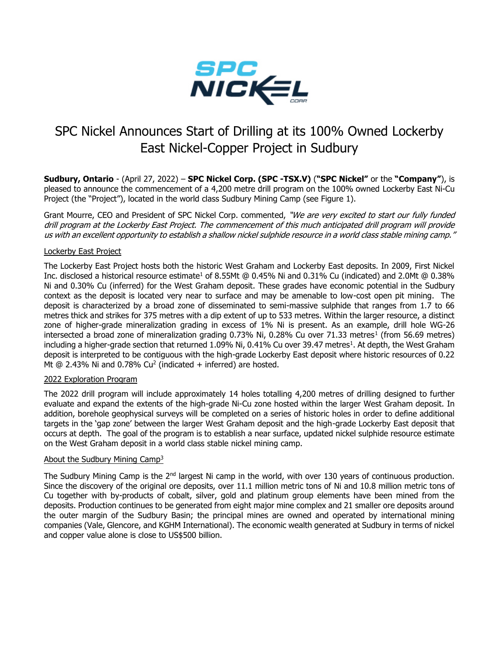

# SPC Nickel Announces Start of Drilling at its 100% Owned Lockerby East Nickel-Copper Project in Sudbury

**Sudbury, Ontario** - (April 27, 2022) – **SPC Nickel Corp. (SPC -TSX.V)** (**"SPC Nickel"** or the **"Company"**), is pleased to announce the commencement of a 4,200 metre drill program on the 100% owned Lockerby East Ni-Cu Project (the "Project"), located in the world class Sudbury Mining Camp (see Figure 1).

Grant Mourre, CEO and President of SPC Nickel Corp. commented, "We are very excited to start our fully funded drill program at the Lockerby East Project. The commencement of this much anticipated drill program will provide us with an excellent opportunity to establish a shallow nickel sulphide resource in a world class stable mining camp."

# Lockerby East Project

The Lockerby East Project hosts both the historic West Graham and Lockerby East deposits. In 2009, First Nickel Inc. disclosed a historical resource estimate<sup>1</sup> of 8.55Mt @ 0.45% Ni and 0.31% Cu (indicated) and 2.0Mt @ 0.38% Ni and 0.30% Cu (inferred) for the West Graham deposit. These grades have economic potential in the Sudbury context as the deposit is located very near to surface and may be amenable to low-cost open pit mining. The deposit is characterized by a broad zone of disseminated to semi-massive sulphide that ranges from 1.7 to 66 metres thick and strikes for 375 metres with a dip extent of up to 533 metres. Within the larger resource, a distinct zone of higher-grade mineralization grading in excess of 1% Ni is present. As an example, drill hole WG-26 intersected a broad zone of mineralization grading 0.73% Ni, 0.28% Cu over 71.33 metres<sup>1</sup> (from 56.69 metres) including a higher-grade section that returned 1.09% Ni, 0.41% Cu over 39.47 metres<sup>1</sup>. At depth, the West Graham deposit is interpreted to be contiguous with the high-grade Lockerby East deposit where historic resources of 0.22 Mt  $@$  2.43% Ni and 0.78% Cu<sup>2</sup> (indicated  $+$  inferred) are hosted.

#### 2022 Exploration Program

The 2022 drill program will include approximately 14 holes totalling 4,200 metres of drilling designed to further evaluate and expand the extents of the high-grade Ni-Cu zone hosted within the larger West Graham deposit. In addition, borehole geophysical surveys will be completed on a series of historic holes in order to define additional targets in the 'gap zone' between the larger West Graham deposit and the high-grade Lockerby East deposit that occurs at depth. The goal of the program is to establish a near surface, updated nickel sulphide resource estimate on the West Graham deposit in a world class stable nickel mining camp.

#### About the Sudbury Mining Camp<sup>3</sup>

The Sudbury Mining Camp is the 2<sup>nd</sup> largest Ni camp in the world, with over 130 years of continuous production. Since the discovery of the original ore deposits, over 11.1 million metric tons of Ni and 10.8 million metric tons of Cu together with by-products of cobalt, silver, gold and platinum group elements have been mined from the deposits. Production continues to be generated from eight major mine complex and 21 smaller ore deposits around the outer margin of the Sudbury Basin; the principal mines are owned and operated by international mining companies (Vale, Glencore, and KGHM International). The economic wealth generated at Sudbury in terms of nickel and copper value alone is close to US\$500 billion.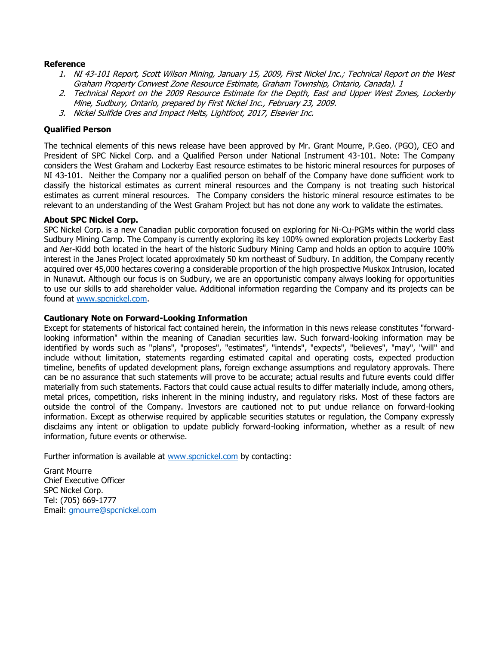# **Reference**

- 1. NI 43-101 Report, Scott Wilson Mining, January 15, 2009, First Nickel Inc.; Technical Report on the West Graham Property Conwest Zone Resource Estimate, Graham Township, Ontario, Canada). 1
- 2. Technical Report on the 2009 Resource Estimate for the Depth, East and Upper West Zones, Lockerby Mine, Sudbury, Ontario, prepared by First Nickel Inc., February 23, 2009.
- 3. Nickel Sulfide Ores and Impact Melts, Lightfoot, 2017, Elsevier Inc.

# **Qualified Person**

The technical elements of this news release have been approved by Mr. Grant Mourre, P.Geo. (PGO), CEO and President of SPC Nickel Corp. and a Qualified Person under National Instrument 43-101. Note: The Company considers the West Graham and Lockerby East resource estimates to be historic mineral resources for purposes of NI 43-101. Neither the Company nor a qualified person on behalf of the Company have done sufficient work to classify the historical estimates as current mineral resources and the Company is not treating such historical estimates as current mineral resources. The Company considers the historic mineral resource estimates to be relevant to an understanding of the West Graham Project but has not done any work to validate the estimates.

# **About SPC Nickel Corp.**

SPC Nickel Corp. is a new Canadian public corporation focused on exploring for Ni-Cu-PGMs within the world class Sudbury Mining Camp. The Company is currently exploring its key 100% owned exploration projects Lockerby East and Aer-Kidd both located in the heart of the historic Sudbury Mining Camp and holds an option to acquire 100% interest in the Janes Project located approximately 50 km northeast of Sudbury. In addition, the Company recently acquired over 45,000 hectares covering a considerable proportion of the high prospective Muskox Intrusion, located in Nunavut. Although our focus is on Sudbury, we are an opportunistic company always looking for opportunities to use our skills to add shareholder value. Additional information regarding the Company and its projects can be found at [www.spcnickel.com.](http://www.spcnickel.com/)

# **Cautionary Note on Forward-Looking Information**

Except for statements of historical fact contained herein, the information in this news release constitutes "forwardlooking information" within the meaning of Canadian securities law. Such forward-looking information may be identified by words such as "plans", "proposes", "estimates", "intends", "expects", "believes", "may", "will" and include without limitation, statements regarding estimated capital and operating costs, expected production timeline, benefits of updated development plans, foreign exchange assumptions and regulatory approvals. There can be no assurance that such statements will prove to be accurate; actual results and future events could differ materially from such statements. Factors that could cause actual results to differ materially include, among others, metal prices, competition, risks inherent in the mining industry, and regulatory risks. Most of these factors are outside the control of the Company. Investors are cautioned not to put undue reliance on forward-looking information. Except as otherwise required by applicable securities statutes or regulation, the Company expressly disclaims any intent or obligation to update publicly forward-looking information, whether as a result of new information, future events or otherwise.

Further information is available at [www.spcnickel.com](http://www.spcnickel.com/) by contacting:

Grant Mourre Chief Executive Officer SPC Nickel Corp. Tel: (705) 669-1777 Email: [gmourre@spcnickel.com](mailto:gmourre@spcnickel.com)